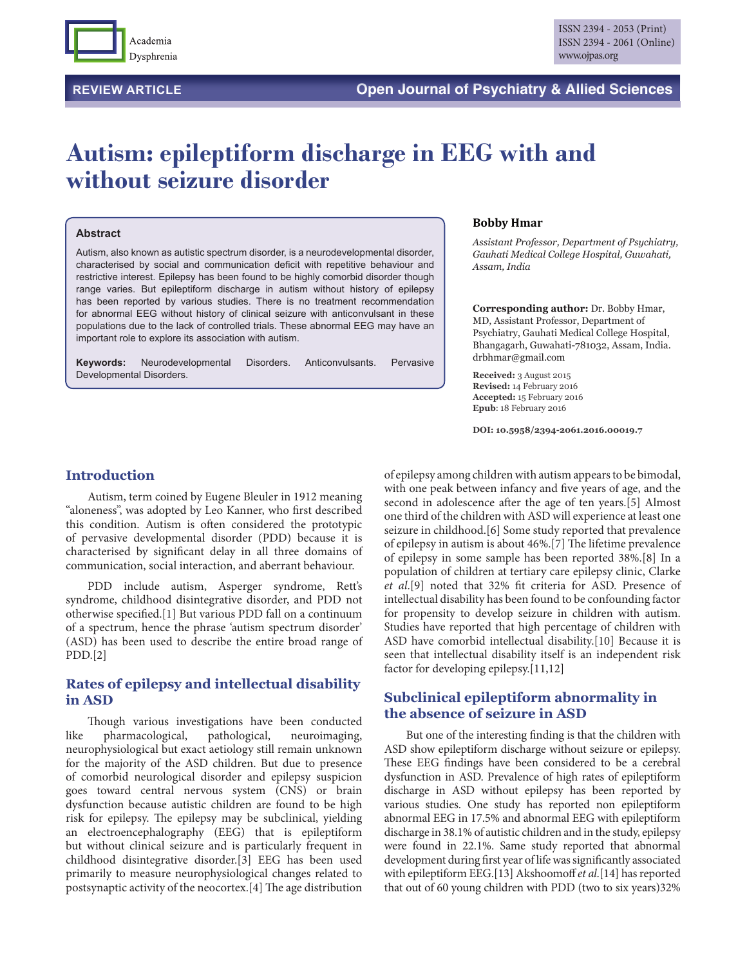

# **Autism: epileptiform discharge in EEG with and without seizure disorder**

#### **Abstract**

Autism, also known as autistic spectrum disorder, is a neurodevelopmental disorder, characterised by social and communication deficit with repetitive behaviour and restrictive interest. Epilepsy has been found to be highly comorbid disorder though range varies. But epileptiform discharge in autism without history of epilepsy has been reported by various studies. There is no treatment recommendation for abnormal EEG without history of clinical seizure with anticonvulsant in these populations due to the lack of controlled trials. These abnormal EEG may have an important role to explore its association with autism.

**Keywords:** Neurodevelopmental Disorders. Anticonvulsants. Pervasive Developmental Disorders.

#### **Bobby Hmar**

*Assistant Professor, Department of Psychiatry, Gauhati Medical College Hospital, Guwahati, Assam, India*

**Corresponding author:** Dr. Bobby Hmar, MD, Assistant Professor, Department of Psychiatry, Gauhati Medical College Hospital, Bhangagarh, Guwahati-781032, Assam, India. drbhmar@gmail.com

**Received:** 3 August 2015 **Revised:** 14 February 2016 **Accepted:** 15 February 2016 **Epub**: 18 February 2016

**DOI: 10.5958/2394-2061.2016.00019.7**

# **Introduction**

Autism, term coined by Eugene Bleuler in 1912 meaning "aloneness", was adopted by Leo Kanner, who first described this condition. Autism is often considered the prototypic of pervasive developmental disorder (PDD) because it is characterised by significant delay in all three domains of communication, social interaction, and aberrant behaviour.

PDD include autism, Asperger syndrome, Rett's syndrome, childhood disintegrative disorder, and PDD not otherwise specified.[1] But various PDD fall on a continuum of a spectrum, hence the phrase 'autism spectrum disorder' (ASD) has been used to describe the entire broad range of PDD.[2]

# **Rates of epilepsy and intellectual disability in ASD**

Though various investigations have been conducted like pharmacological, pathological, neuroimaging, neurophysiological but exact aetiology still remain unknown for the majority of the ASD children. But due to presence of comorbid neurological disorder and epilepsy suspicion goes toward central nervous system (CNS) or brain dysfunction because autistic children are found to be high risk for epilepsy. The epilepsy may be subclinical, yielding an electroencephalography (EEG) that is epileptiform but without clinical seizure and is particularly frequent in childhood disintegrative disorder.[3] EEG has been used primarily to measure neurophysiological changes related to postsynaptic activity of the neocortex.[4] The age distribution

of epilepsy among children with autism appears to be bimodal, with one peak between infancy and five years of age, and the second in adolescence after the age of ten years.[5] Almost one third of the children with ASD will experience at least one seizure in childhood.[6] Some study reported that prevalence of epilepsy in autism is about 46%.[7] The lifetime prevalence of epilepsy in some sample has been reported 38%.[8] In a population of children at tertiary care epilepsy clinic, Clarke *et al*.[9] noted that 32% fit criteria for ASD. Presence of intellectual disability has been found to be confounding factor for propensity to develop seizure in children with autism. Studies have reported that high percentage of children with ASD have comorbid intellectual disability.[10] Because it is seen that intellectual disability itself is an independent risk factor for developing epilepsy.[11,12]

# **Subclinical epileptiform abnormality in the absence of seizure in ASD**

But one of the interesting finding is that the children with ASD show epileptiform discharge without seizure or epilepsy. These EEG findings have been considered to be a cerebral dysfunction in ASD. Prevalence of high rates of epileptiform discharge in ASD without epilepsy has been reported by various studies. One study has reported non epileptiform abnormal EEG in 17.5% and abnormal EEG with epileptiform discharge in 38.1% of autistic children and in the study, epilepsy were found in 22.1%. Same study reported that abnormal development during first year of life was significantly associated with epileptiform EEG.[13] Akshoomoff *et al*.[14] has reported that out of 60 young children with PDD (two to six years)32%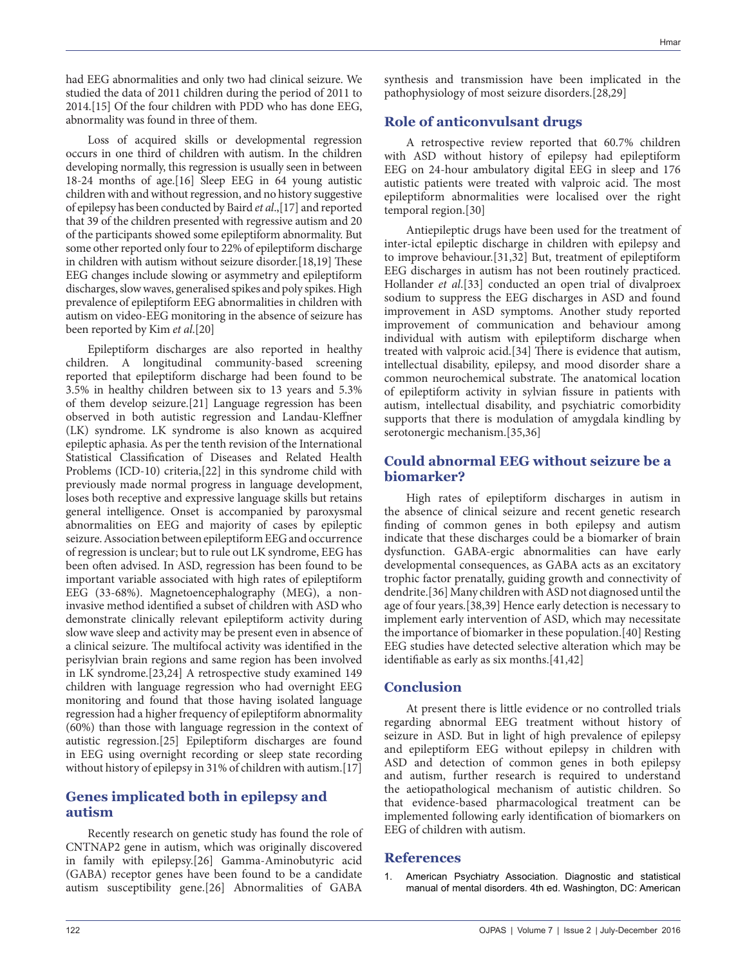had EEG abnormalities and only two had clinical seizure. We studied the data of 2011 children during the period of 2011 to 2014.[15] Of the four children with PDD who has done EEG, abnormality was found in three of them.

Loss of acquired skills or developmental regression occurs in one third of children with autism. In the children developing normally, this regression is usually seen in between 18-24 months of age.[16] Sleep EEG in 64 young autistic children with and without regression, and no history suggestive of epilepsy has been conducted by Baird *et al*.,[17] and reported that 39 of the children presented with regressive autism and 20 of the participants showed some epileptiform abnormality. But some other reported only four to 22% of epileptiform discharge in children with autism without seizure disorder.[18,19] These EEG changes include slowing or asymmetry and epileptiform discharges, slow waves, generalised spikes and poly spikes. High prevalence of epileptiform EEG abnormalities in children with autism on video-EEG monitoring in the absence of seizure has been reported by Kim *et al*.[20]

Epileptiform discharges are also reported in healthy children. A longitudinal community-based screening reported that epileptiform discharge had been found to be 3.5% in healthy children between six to 13 years and 5.3% of them develop seizure.[21] Language regression has been observed in both autistic regression and Landau-Kleffner (LK) syndrome. LK syndrome is also known as acquired epileptic aphasia. As per the tenth revision of the International Statistical Classification of Diseases and Related Health Problems (ICD-10) criteria,[22] in this syndrome child with previously made normal progress in language development, loses both receptive and expressive language skills but retains general intelligence. Onset is accompanied by paroxysmal abnormalities on EEG and majority of cases by epileptic seizure. Association between epileptiform EEG and occurrence of regression is unclear; but to rule out LK syndrome, EEG has been often advised. In ASD, regression has been found to be important variable associated with high rates of epileptiform EEG (33-68%). Magnetoencephalography (MEG), a noninvasive method identified a subset of children with ASD who demonstrate clinically relevant epileptiform activity during slow wave sleep and activity may be present even in absence of a clinical seizure. The multifocal activity was identified in the perisylvian brain regions and same region has been involved in LK syndrome.[23,24] A retrospective study examined 149 children with language regression who had overnight EEG monitoring and found that those having isolated language regression had a higher frequency of epileptiform abnormality (60%) than those with language regression in the context of autistic regression.[25] Epileptiform discharges are found in EEG using overnight recording or sleep state recording without history of epilepsy in 31% of children with autism.[17]

# **Genes implicated both in epilepsy and autism**

Recently research on genetic study has found the role of CNTNAP2 gene in autism, which was originally discovered in family with epilepsy.[26] Gamma-Aminobutyric acid (GABA) receptor genes have been found to be a candidate autism susceptibility gene.[26] Abnormalities of GABA

synthesis and transmission have been implicated in the pathophysiology of most seizure disorders.[28,29]

## **Role of anticonvulsant drugs**

A retrospective review reported that 60.7% children with ASD without history of epilepsy had epileptiform EEG on 24-hour ambulatory digital EEG in sleep and 176 autistic patients were treated with valproic acid. The most epileptiform abnormalities were localised over the right temporal region.[30]

Antiepileptic drugs have been used for the treatment of inter-ictal epileptic discharge in children with epilepsy and to improve behaviour.[31,32] But, treatment of epileptiform EEG discharges in autism has not been routinely practiced. Hollander *et al*.[33] conducted an open trial of divalproex sodium to suppress the EEG discharges in ASD and found improvement in ASD symptoms. Another study reported improvement of communication and behaviour among individual with autism with epileptiform discharge when treated with valproic acid.[34] There is evidence that autism, intellectual disability, epilepsy, and mood disorder share a common neurochemical substrate. The anatomical location of epileptiform activity in sylvian fissure in patients with autism, intellectual disability, and psychiatric comorbidity supports that there is modulation of amygdala kindling by serotonergic mechanism.[35,36]

## **Could abnormal EEG without seizure be a biomarker?**

High rates of epileptiform discharges in autism in the absence of clinical seizure and recent genetic research finding of common genes in both epilepsy and autism indicate that these discharges could be a biomarker of brain dysfunction. GABA-ergic abnormalities can have early developmental consequences, as GABA acts as an excitatory trophic factor prenatally, guiding growth and connectivity of dendrite.[36] Many children with ASD not diagnosed until the age of four years.[38,39] Hence early detection is necessary to implement early intervention of ASD, which may necessitate the importance of biomarker in these population.[40] Resting EEG studies have detected selective alteration which may be identifiable as early as six months.[41,42]

#### **Conclusion**

At present there is little evidence or no controlled trials regarding abnormal EEG treatment without history of seizure in ASD. But in light of high prevalence of epilepsy and epileptiform EEG without epilepsy in children with ASD and detection of common genes in both epilepsy and autism, further research is required to understand the aetiopathological mechanism of autistic children. So that evidence-based pharmacological treatment can be implemented following early identification of biomarkers on EEG of children with autism.

## **References**

1. American Psychiatry Association. Diagnostic and statistical manual of mental disorders. 4th ed. Washington, DC: American